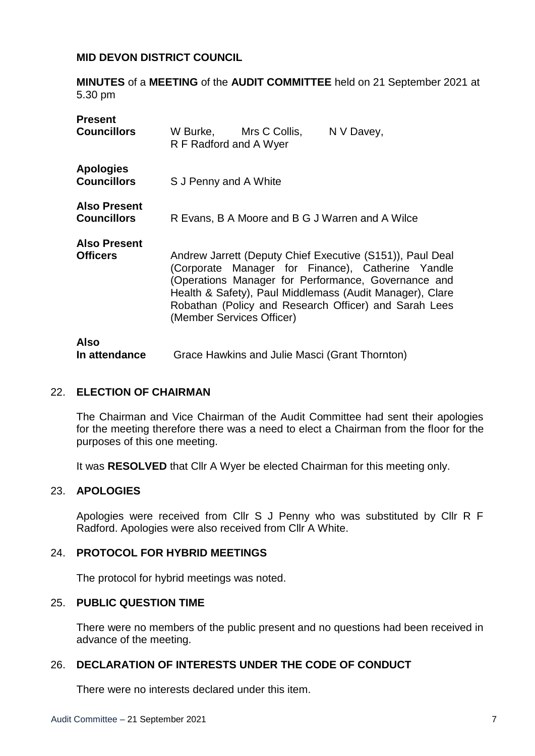### **MID DEVON DISTRICT COUNCIL**

**MINUTES** of a **MEETING** of the **AUDIT COMMITTEE** held on 21 September 2021 at 5.30 pm

| <b>Present</b><br><b>Councillors</b>      | W Burke, Mrs C Collis,<br>N V Davey,<br>R F Radford and A Wyer                                                                                                                                                                                                                                                          |  |
|-------------------------------------------|-------------------------------------------------------------------------------------------------------------------------------------------------------------------------------------------------------------------------------------------------------------------------------------------------------------------------|--|
| <b>Apologies</b><br><b>Councillors</b>    | S J Penny and A White                                                                                                                                                                                                                                                                                                   |  |
| <b>Also Present</b><br><b>Councillors</b> | R Evans, B A Moore and B G J Warren and A Wilce                                                                                                                                                                                                                                                                         |  |
| <b>Also Present</b><br><b>Officers</b>    | Andrew Jarrett (Deputy Chief Executive (S151)), Paul Deal<br>(Corporate Manager for Finance), Catherine Yandle<br>(Operations Manager for Performance, Governance and<br>Health & Safety), Paul Middlemass (Audit Manager), Clare<br>Robathan (Policy and Research Officer) and Sarah Lees<br>(Member Services Officer) |  |
| <b>Also</b><br>In attendance              | Grace Hawkins and Julie Masci (Grant Thornton)                                                                                                                                                                                                                                                                          |  |

#### 22. **ELECTION OF CHAIRMAN**

The Chairman and Vice Chairman of the Audit Committee had sent their apologies for the meeting therefore there was a need to elect a Chairman from the floor for the purposes of this one meeting.

It was **RESOLVED** that Cllr A Wyer be elected Chairman for this meeting only.

## 23. **APOLOGIES**

Apologies were received from Cllr S J Penny who was substituted by Cllr R F Radford. Apologies were also received from Cllr A White.

#### 24. **PROTOCOL FOR HYBRID MEETINGS**

The protocol for hybrid meetings was noted.

#### 25. **PUBLIC QUESTION TIME**

There were no members of the public present and no questions had been received in advance of the meeting.

#### 26. **DECLARATION OF INTERESTS UNDER THE CODE OF CONDUCT**

There were no interests declared under this item.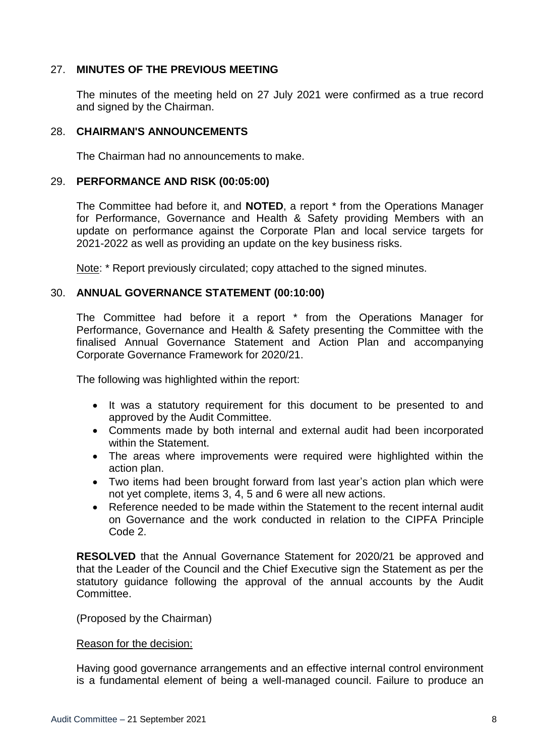# 27. **MINUTES OF THE PREVIOUS MEETING**

The minutes of the meeting held on 27 July 2021 were confirmed as a true record and signed by the Chairman.

### 28. **CHAIRMAN'S ANNOUNCEMENTS**

The Chairman had no announcements to make.

### 29. **PERFORMANCE AND RISK (00:05:00)**

The Committee had before it, and **NOTED**, a report \* from the Operations Manager for Performance, Governance and Health & Safety providing Members with an update on performance against the Corporate Plan and local service targets for 2021-2022 as well as providing an update on the key business risks.

Note: \* Report previously circulated; copy attached to the signed minutes.

### 30. **ANNUAL GOVERNANCE STATEMENT (00:10:00)**

The Committee had before it a report \* from the Operations Manager for Performance, Governance and Health & Safety presenting the Committee with the finalised Annual Governance Statement and Action Plan and accompanying Corporate Governance Framework for 2020/21.

The following was highlighted within the report:

- It was a statutory requirement for this document to be presented to and approved by the Audit Committee.
- Comments made by both internal and external audit had been incorporated within the Statement.
- The areas where improvements were required were highlighted within the action plan.
- Two items had been brought forward from last year's action plan which were not yet complete, items 3, 4, 5 and 6 were all new actions.
- Reference needed to be made within the Statement to the recent internal audit on Governance and the work conducted in relation to the CIPFA Principle Code 2.

**RESOLVED** that the Annual Governance Statement for 2020/21 be approved and that the Leader of the Council and the Chief Executive sign the Statement as per the statutory guidance following the approval of the annual accounts by the Audit Committee.

(Proposed by the Chairman)

#### Reason for the decision:

Having good governance arrangements and an effective internal control environment is a fundamental element of being a well-managed council. Failure to produce an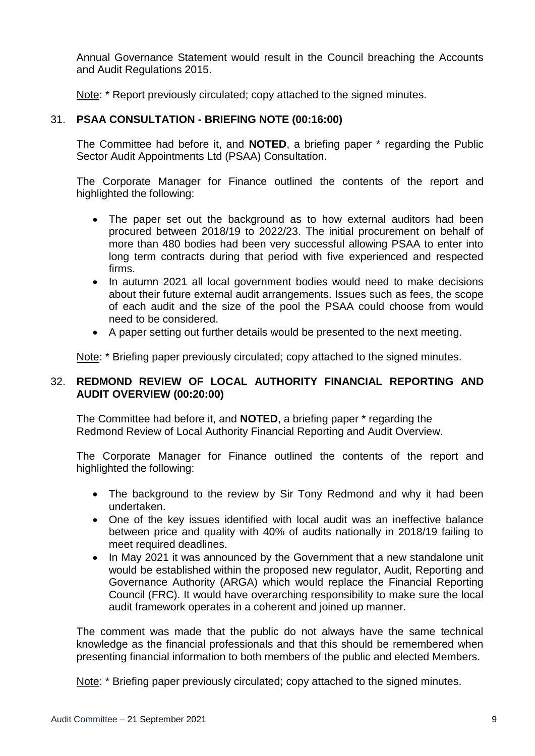Annual Governance Statement would result in the Council breaching the Accounts and Audit Regulations 2015.

Note: \* Report previously circulated; copy attached to the signed minutes.

# 31. **PSAA CONSULTATION - BRIEFING NOTE (00:16:00)**

The Committee had before it, and **NOTED**, a briefing paper \* regarding the Public Sector Audit Appointments Ltd (PSAA) Consultation.

The Corporate Manager for Finance outlined the contents of the report and highlighted the following:

- The paper set out the background as to how external auditors had been procured between 2018/19 to 2022/23. The initial procurement on behalf of more than 480 bodies had been very successful allowing PSAA to enter into long term contracts during that period with five experienced and respected firms.
- In autumn 2021 all local government bodies would need to make decisions about their future external audit arrangements. Issues such as fees, the scope of each audit and the size of the pool the PSAA could choose from would need to be considered.
- A paper setting out further details would be presented to the next meeting.

Note: \* Briefing paper previously circulated; copy attached to the signed minutes.

## 32. **REDMOND REVIEW OF LOCAL AUTHORITY FINANCIAL REPORTING AND AUDIT OVERVIEW (00:20:00)**

The Committee had before it, and **NOTED**, a briefing paper \* regarding the Redmond Review of Local Authority Financial Reporting and Audit Overview.

The Corporate Manager for Finance outlined the contents of the report and highlighted the following:

- The background to the review by Sir Tony Redmond and why it had been undertaken.
- One of the key issues identified with local audit was an ineffective balance between price and quality with 40% of audits nationally in 2018/19 failing to meet required deadlines.
- In May 2021 it was announced by the Government that a new standalone unit would be established within the proposed new regulator, Audit, Reporting and Governance Authority (ARGA) which would replace the Financial Reporting Council (FRC). It would have overarching responsibility to make sure the local audit framework operates in a coherent and joined up manner.

The comment was made that the public do not always have the same technical knowledge as the financial professionals and that this should be remembered when presenting financial information to both members of the public and elected Members.

Note: \* Briefing paper previously circulated; copy attached to the signed minutes.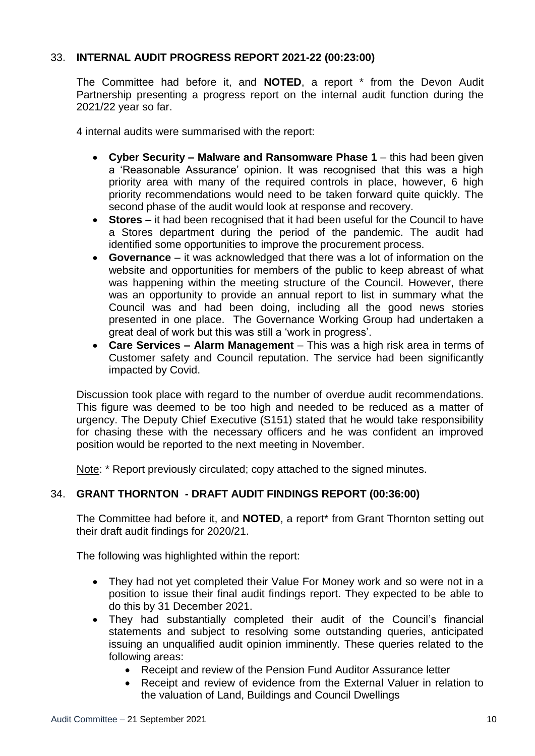# 33. **INTERNAL AUDIT PROGRESS REPORT 2021-22 (00:23:00)**

The Committee had before it, and **NOTED**, a report \* from the Devon Audit Partnership presenting a progress report on the internal audit function during the 2021/22 year so far.

4 internal audits were summarised with the report:

- **Cyber Security – Malware and Ransomware Phase 1** this had been given a 'Reasonable Assurance' opinion. It was recognised that this was a high priority area with many of the required controls in place, however, 6 high priority recommendations would need to be taken forward quite quickly. The second phase of the audit would look at response and recovery.
- **Stores**  it had been recognised that it had been useful for the Council to have a Stores department during the period of the pandemic. The audit had identified some opportunities to improve the procurement process.
- **Governance**  it was acknowledged that there was a lot of information on the website and opportunities for members of the public to keep abreast of what was happening within the meeting structure of the Council. However, there was an opportunity to provide an annual report to list in summary what the Council was and had been doing, including all the good news stories presented in one place. The Governance Working Group had undertaken a great deal of work but this was still a 'work in progress'.
- **Care Services – Alarm Management** This was a high risk area in terms of Customer safety and Council reputation. The service had been significantly impacted by Covid.

Discussion took place with regard to the number of overdue audit recommendations. This figure was deemed to be too high and needed to be reduced as a matter of urgency. The Deputy Chief Executive (S151) stated that he would take responsibility for chasing these with the necessary officers and he was confident an improved position would be reported to the next meeting in November.

Note: \* Report previously circulated; copy attached to the signed minutes.

## 34. **GRANT THORNTON - DRAFT AUDIT FINDINGS REPORT (00:36:00)**

The Committee had before it, and **NOTED**, a report\* from Grant Thornton setting out their draft audit findings for 2020/21.

The following was highlighted within the report:

- They had not yet completed their Value For Money work and so were not in a position to issue their final audit findings report. They expected to be able to do this by 31 December 2021.
- They had substantially completed their audit of the Council's financial statements and subject to resolving some outstanding queries, anticipated issuing an unqualified audit opinion imminently. These queries related to the following areas:
	- Receipt and review of the Pension Fund Auditor Assurance letter
	- Receipt and review of evidence from the External Valuer in relation to the valuation of Land, Buildings and Council Dwellings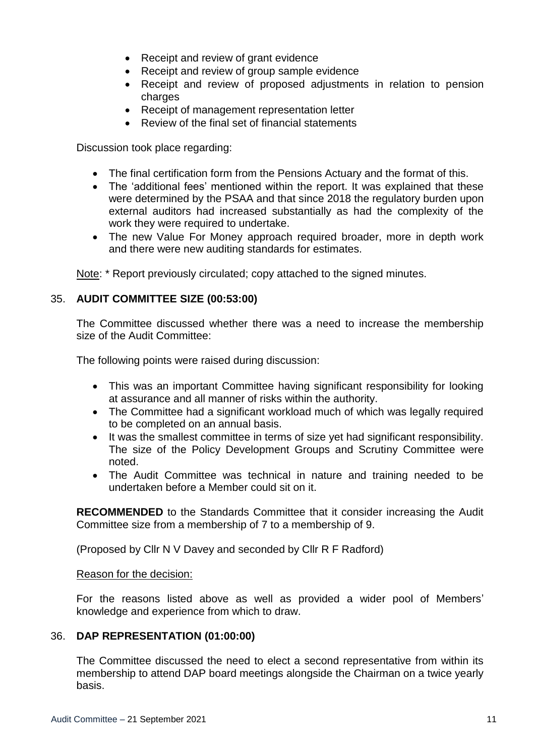- Receipt and review of grant evidence
- Receipt and review of group sample evidence
- Receipt and review of proposed adjustments in relation to pension charges
- Receipt of management representation letter
- Review of the final set of financial statements

Discussion took place regarding:

- The final certification form from the Pensions Actuary and the format of this.
- The 'additional fees' mentioned within the report. It was explained that these were determined by the PSAA and that since 2018 the regulatory burden upon external auditors had increased substantially as had the complexity of the work they were required to undertake.
- The new Value For Money approach required broader, more in depth work and there were new auditing standards for estimates.

Note: \* Report previously circulated; copy attached to the signed minutes.

## 35. **AUDIT COMMITTEE SIZE (00:53:00)**

The Committee discussed whether there was a need to increase the membership size of the Audit Committee:

The following points were raised during discussion:

- This was an important Committee having significant responsibility for looking at assurance and all manner of risks within the authority.
- The Committee had a significant workload much of which was legally required to be completed on an annual basis.
- It was the smallest committee in terms of size yet had significant responsibility. The size of the Policy Development Groups and Scrutiny Committee were noted.
- The Audit Committee was technical in nature and training needed to be undertaken before a Member could sit on it.

**RECOMMENDED** to the Standards Committee that it consider increasing the Audit Committee size from a membership of 7 to a membership of 9.

(Proposed by Cllr N V Davey and seconded by Cllr R F Radford)

#### Reason for the decision:

For the reasons listed above as well as provided a wider pool of Members' knowledge and experience from which to draw.

## 36. **DAP REPRESENTATION (01:00:00)**

The Committee discussed the need to elect a second representative from within its membership to attend DAP board meetings alongside the Chairman on a twice yearly basis.